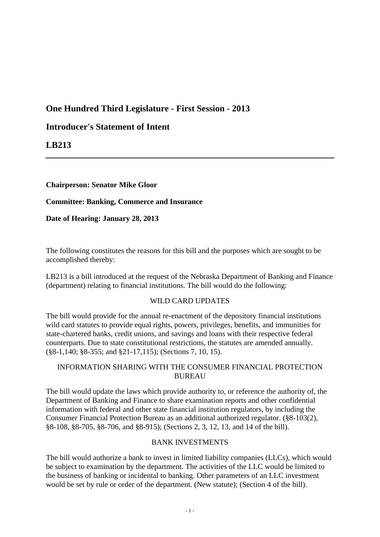# **One Hundred Third Legislature - First Session - 2013**

# **Introducer's Statement of Intent**

**LB213**

**Chairperson: Senator Mike Gloor**

**Committee: Banking, Commerce and Insurance**

**Date of Hearing: January 28, 2013**

The following constitutes the reasons for this bill and the purposes which are sought to be accomplished thereby:

LB213 is a bill introduced at the request of the Nebraska Department of Banking and Finance (department) relating to financial institutions. The bill would do the following:

# WILD CARD UPDATES

The bill would provide for the annual re-enactment of the depository financial institutions wild card statutes to provide equal rights, powers, privileges, benefits, and immunities for state-chartered banks, credit unions, and savings and loans with their respective federal counterparts. Due to state constitutional restrictions, the statutes are amended annually. (§8-1,140; §8-355; and §21-17,115); (Sections 7, 10, 15).

# INFORMATION SHARING WITH THE CONSUMER FINANCIAL PROTECTION BUREAU

The bill would update the laws which provide authority to, or reference the authority of, the Department of Banking and Finance to share examination reports and other confidential information with federal and other state financial institution regulators, by including the Consumer Financial Protection Bureau as an additional authorized regulator. (§8-103(2), §8-108, §8-705, §8-706, and §8-915); (Sections 2, 3, 12, 13, and 14 of the bill).

# BANK INVESTMENTS

The bill would authorize a bank to invest in limited liability companies (LLCs), which would be subject to examination by the department. The activities of the LLC would be limited to the business of banking or incidental to banking. Other parameters of an LLC investment would be set by rule or order of the department. (New statute); (Section 4 of the bill).